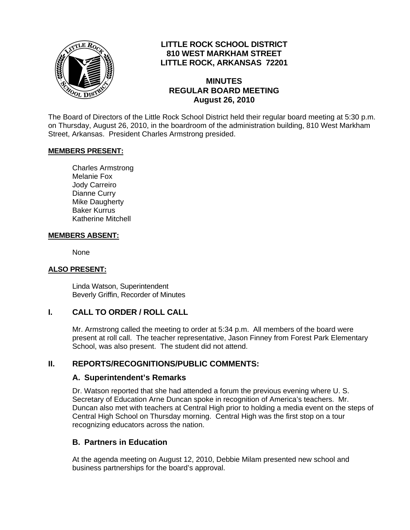

# **LITTLE ROCK SCHOOL DISTRICT 810 WEST MARKHAM STREET LITTLE ROCK, ARKANSAS 72201**

#### **MINUTES REGULAR BOARD MEETING August 26, 2010**

The Board of Directors of the Little Rock School District held their regular board meeting at 5:30 p.m. on Thursday, August 26, 2010, in the boardroom of the administration building, 810 West Markham Street, Arkansas. President Charles Armstrong presided.

#### **MEMBERS PRESENT:**

Charles Armstrong Melanie Fox Jody Carreiro Dianne Curry Mike Daugherty Baker Kurrus Katherine Mitchell

#### **MEMBERS ABSENT:**

None

#### **ALSO PRESENT:**

 Linda Watson, Superintendent Beverly Griffin, Recorder of Minutes

## **I. CALL TO ORDER / ROLL CALL**

Mr. Armstrong called the meeting to order at 5:34 p.m. All members of the board were present at roll call. The teacher representative, Jason Finney from Forest Park Elementary School, was also present. The student did not attend.

#### **II. REPORTS/RECOGNITIONS/PUBLIC COMMENTS:**

#### **A. Superintendent's Remarks**

Dr. Watson reported that she had attended a forum the previous evening where U. S. Secretary of Education Arne Duncan spoke in recognition of America's teachers. Mr. Duncan also met with teachers at Central High prior to holding a media event on the steps of Central High School on Thursday morning. Central High was the first stop on a tour recognizing educators across the nation.

#### **B. Partners in Education**

At the agenda meeting on August 12, 2010, Debbie Milam presented new school and business partnerships for the board's approval.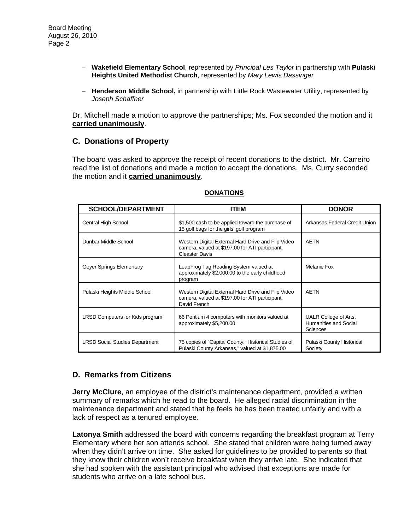- − **Wakefield Elementary School**, represented by *Principal Les Taylor* in partnership with **Pulaski Heights United Methodist Church**, represented by *Mary Lewis Dassinger*
- − **Henderson Middle School,** in partnership with Little Rock Wastewater Utility, represented by *Joseph Schaffner*

Dr. Mitchell made a motion to approve the partnerships; Ms. Fox seconded the motion and it **carried unanimously**.

#### **C. Donations of Property**

The board was asked to approve the receipt of recent donations to the district. Mr. Carreiro read the list of donations and made a motion to accept the donations. Ms. Curry seconded the motion and it **carried unanimously**.

| <b>SCHOOL/DEPARTMENT</b>              | <b>ITEM</b>                                                                                                                    | <b>DONOR</b>                                                      |
|---------------------------------------|--------------------------------------------------------------------------------------------------------------------------------|-------------------------------------------------------------------|
| Central High School                   | \$1,500 cash to be applied toward the purchase of<br>15 golf bags for the girls' golf program                                  | Arkansas Federal Credit Union                                     |
| Dunbar Middle School                  | Western Digital External Hard Drive and Flip Video<br>camera, valued at \$197.00 for ATI participant,<br><b>Cleaster Davis</b> | <b>AETN</b>                                                       |
| Geyer Springs Elementary              | LeapFrog Tag Reading System valued at<br>approximately \$2,000.00 to the early childhood<br>program                            | Melanie Fox                                                       |
| Pulaski Heights Middle School         | Western Digital External Hard Drive and Flip Video<br>camera, valued at \$197.00 for ATI participant,<br>David French          | <b>AETN</b>                                                       |
| LRSD Computers for Kids program       | 66 Pentium 4 computers with monitors valued at<br>approximately \$5,200.00                                                     | UALR College of Arts,<br>Humanities and Social<br><b>Sciences</b> |
| <b>LRSD Social Studies Department</b> | 75 copies of "Capital County: Historical Studies of<br>Pulaski County Arkansas," valued at \$1,875.00                          | Pulaski County Historical<br>Society                              |

#### **DONATIONS**

# **D. Remarks from Citizens**

**Jerry McClure**, an employee of the district's maintenance department, provided a written summary of remarks which he read to the board. He alleged racial discrimination in the maintenance department and stated that he feels he has been treated unfairly and with a lack of respect as a tenured employee.

**Latonya Smith** addressed the board with concerns regarding the breakfast program at Terry Elementary where her son attends school. She stated that children were being turned away when they didn't arrive on time. She asked for guidelines to be provided to parents so that they know their children won't receive breakfast when they arrive late. She indicated that she had spoken with the assistant principal who advised that exceptions are made for students who arrive on a late school bus.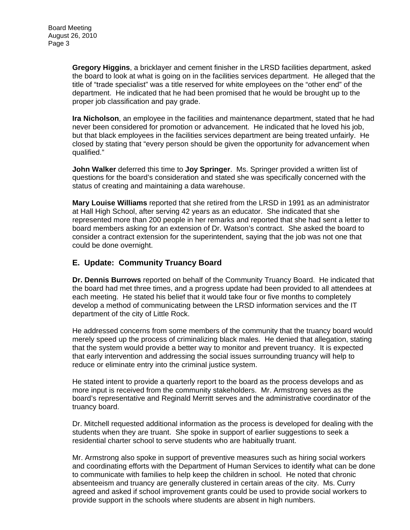**Gregory Higgins**, a bricklayer and cement finisher in the LRSD facilities department, asked the board to look at what is going on in the facilities services department. He alleged that the title of "trade specialist" was a title reserved for white employees on the "other end" of the department. He indicated that he had been promised that he would be brought up to the proper job classification and pay grade.

**Ira Nicholson**, an employee in the facilities and maintenance department, stated that he had never been considered for promotion or advancement. He indicated that he loved his job, but that black employees in the facilities services department are being treated unfairly. He closed by stating that "every person should be given the opportunity for advancement when qualified."

**John Walker** deferred this time to **Joy Springer**. Ms. Springer provided a written list of questions for the board's consideration and stated she was specifically concerned with the status of creating and maintaining a data warehouse.

**Mary Louise Williams** reported that she retired from the LRSD in 1991 as an administrator at Hall High School, after serving 42 years as an educator. She indicated that she represented more than 200 people in her remarks and reported that she had sent a letter to board members asking for an extension of Dr. Watson's contract. She asked the board to consider a contract extension for the superintendent, saying that the job was not one that could be done overnight.

## **E. Update: Community Truancy Board**

**Dr. Dennis Burrows** reported on behalf of the Community Truancy Board. He indicated that the board had met three times, and a progress update had been provided to all attendees at each meeting. He stated his belief that it would take four or five months to completely develop a method of communicating between the LRSD information services and the IT department of the city of Little Rock.

He addressed concerns from some members of the community that the truancy board would merely speed up the process of criminalizing black males. He denied that allegation, stating that the system would provide a better way to monitor and prevent truancy. It is expected that early intervention and addressing the social issues surrounding truancy will help to reduce or eliminate entry into the criminal justice system.

He stated intent to provide a quarterly report to the board as the process develops and as more input is received from the community stakeholders. Mr. Armstrong serves as the board's representative and Reginald Merritt serves and the administrative coordinator of the truancy board.

Dr. Mitchell requested additional information as the process is developed for dealing with the students when they are truant. She spoke in support of earlier suggestions to seek a residential charter school to serve students who are habitually truant.

Mr. Armstrong also spoke in support of preventive measures such as hiring social workers and coordinating efforts with the Department of Human Services to identify what can be done to communicate with families to help keep the children in school. He noted that chronic absenteeism and truancy are generally clustered in certain areas of the city. Ms. Curry agreed and asked if school improvement grants could be used to provide social workers to provide support in the schools where students are absent in high numbers.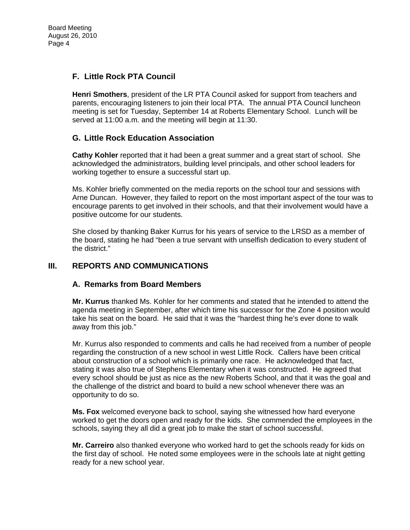# **F. Little Rock PTA Council**

**Henri Smothers**, president of the LR PTA Council asked for support from teachers and parents, encouraging listeners to join their local PTA. The annual PTA Council luncheon meeting is set for Tuesday, September 14 at Roberts Elementary School. Lunch will be served at 11:00 a.m. and the meeting will begin at 11:30.

# **G. Little Rock Education Association**

**Cathy Kohler** reported that it had been a great summer and a great start of school. She acknowledged the administrators, building level principals, and other school leaders for working together to ensure a successful start up.

Ms. Kohler briefly commented on the media reports on the school tour and sessions with Arne Duncan. However, they failed to report on the most important aspect of the tour was to encourage parents to get involved in their schools, and that their involvement would have a positive outcome for our students.

She closed by thanking Baker Kurrus for his years of service to the LRSD as a member of the board, stating he had "been a true servant with unselfish dedication to every student of the district."

## **III. REPORTS AND COMMUNICATIONS**

## **A. Remarks from Board Members**

**Mr. Kurrus** thanked Ms. Kohler for her comments and stated that he intended to attend the agenda meeting in September, after which time his successor for the Zone 4 position would take his seat on the board. He said that it was the "hardest thing he's ever done to walk away from this job."

Mr. Kurrus also responded to comments and calls he had received from a number of people regarding the construction of a new school in west Little Rock. Callers have been critical about construction of a school which is primarily one race. He acknowledged that fact, stating it was also true of Stephens Elementary when it was constructed. He agreed that every school should be just as nice as the new Roberts School, and that it was the goal and the challenge of the district and board to build a new school whenever there was an opportunity to do so.

**Ms. Fox** welcomed everyone back to school, saying she witnessed how hard everyone worked to get the doors open and ready for the kids. She commended the employees in the schools, saying they all did a great job to make the start of school successful.

**Mr. Carreiro** also thanked everyone who worked hard to get the schools ready for kids on the first day of school. He noted some employees were in the schools late at night getting ready for a new school year.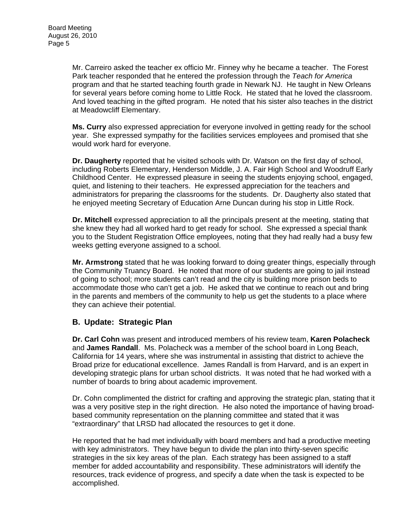Mr. Carreiro asked the teacher ex officio Mr. Finney why he became a teacher. The Forest Park teacher responded that he entered the profession through the *Teach for America* program and that he started teaching fourth grade in Newark NJ. He taught in New Orleans for several years before coming home to Little Rock. He stated that he loved the classroom. And loved teaching in the gifted program. He noted that his sister also teaches in the district at Meadowcliff Elementary.

**Ms. Curry** also expressed appreciation for everyone involved in getting ready for the school year. She expressed sympathy for the facilities services employees and promised that she would work hard for everyone.

**Dr. Daugherty** reported that he visited schools with Dr. Watson on the first day of school, including Roberts Elementary, Henderson Middle, J. A. Fair High School and Woodruff Early Childhood Center. He expressed pleasure in seeing the students enjoying school, engaged, quiet, and listening to their teachers. He expressed appreciation for the teachers and administrators for preparing the classrooms for the students. Dr. Daugherty also stated that he enjoyed meeting Secretary of Education Arne Duncan during his stop in Little Rock.

**Dr. Mitchell** expressed appreciation to all the principals present at the meeting, stating that she knew they had all worked hard to get ready for school. She expressed a special thank you to the Student Registration Office employees, noting that they had really had a busy few weeks getting everyone assigned to a school.

**Mr. Armstrong** stated that he was looking forward to doing greater things, especially through the Community Truancy Board. He noted that more of our students are going to jail instead of going to school; more students can't read and the city is building more prison beds to accommodate those who can't get a job. He asked that we continue to reach out and bring in the parents and members of the community to help us get the students to a place where they can achieve their potential.

## **B. Update: Strategic Plan**

**Dr. Carl Cohn** was present and introduced members of his review team, **Karen Polacheck**  and **James Randall**. Ms. Polacheck was a member of the school board in Long Beach, California for 14 years, where she was instrumental in assisting that district to achieve the Broad prize for educational excellence. James Randall is from Harvard, and is an expert in developing strategic plans for urban school districts. It was noted that he had worked with a number of boards to bring about academic improvement.

Dr. Cohn complimented the district for crafting and approving the strategic plan, stating that it was a very positive step in the right direction. He also noted the importance of having broadbased community representation on the planning committee and stated that it was "extraordinary" that LRSD had allocated the resources to get it done.

He reported that he had met individually with board members and had a productive meeting with key administrators. They have begun to divide the plan into thirty-seven specific strategies in the six key areas of the plan. Each strategy has been assigned to a staff member for added accountability and responsibility. These administrators will identify the resources, track evidence of progress, and specify a date when the task is expected to be accomplished.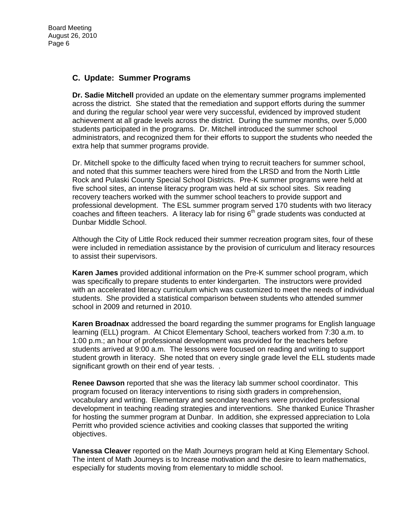## **C. Update: Summer Programs**

**Dr. Sadie Mitchell** provided an update on the elementary summer programs implemented across the district. She stated that the remediation and support efforts during the summer and during the regular school year were very successful, evidenced by improved student achievement at all grade levels across the district. During the summer months, over 5,000 students participated in the programs. Dr. Mitchell introduced the summer school administrators, and recognized them for their efforts to support the students who needed the extra help that summer programs provide.

Dr. Mitchell spoke to the difficulty faced when trying to recruit teachers for summer school, and noted that this summer teachers were hired from the LRSD and from the North Little Rock and Pulaski County Special School Districts. Pre-K summer programs were held at five school sites, an intense literacy program was held at six school sites. Six reading recovery teachers worked with the summer school teachers to provide support and professional development. The ESL summer program served 170 students with two literacy coaches and fifteen teachers. A literacy lab for rising  $6<sup>th</sup>$  grade students was conducted at Dunbar Middle School.

Although the City of Little Rock reduced their summer recreation program sites, four of these were included in remediation assistance by the provision of curriculum and literacy resources to assist their supervisors.

**Karen James** provided additional information on the Pre-K summer school program, which was specifically to prepare students to enter kindergarten. The instructors were provided with an accelerated literacy curriculum which was customized to meet the needs of individual students. She provided a statistical comparison between students who attended summer school in 2009 and returned in 2010.

**Karen Broadnax** addressed the board regarding the summer programs for English language learning (ELL) program. At Chicot Elementary School, teachers worked from 7:30 a.m. to 1:00 p.m.; an hour of professional development was provided for the teachers before students arrived at 9:00 a.m. The lessons were focused on reading and writing to support student growth in literacy. She noted that on every single grade level the ELL students made significant growth on their end of year tests...

**Renee Dawson** reported that she was the literacy lab summer school coordinator. This program focused on literacy interventions to rising sixth graders in comprehension, vocabulary and writing. Elementary and secondary teachers were provided professional development in teaching reading strategies and interventions. She thanked Eunice Thrasher for hosting the summer program at Dunbar. In addition, she expressed appreciation to Lola Perritt who provided science activities and cooking classes that supported the writing objectives.

**Vanessa Cleaver** reported on the Math Journeys program held at King Elementary School. The intent of Math Journeys is to Increase motivation and the desire to learn mathematics, especially for students moving from elementary to middle school.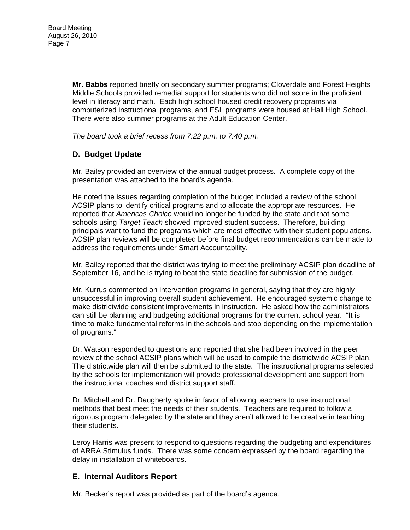**Mr. Babbs** reported briefly on secondary summer programs; Cloverdale and Forest Heights Middle Schools provided remedial support for students who did not score in the proficient level in literacy and math. Each high school housed credit recovery programs via computerized instructional programs, and ESL programs were housed at Hall High School. There were also summer programs at the Adult Education Center.

*The board took a brief recess from 7:22 p.m. to 7:40 p.m.* 

# **D. Budget Update**

Mr. Bailey provided an overview of the annual budget process. A complete copy of the presentation was attached to the board's agenda.

He noted the issues regarding completion of the budget included a review of the school ACSIP plans to identify critical programs and to allocate the appropriate resources. He reported that *Americas Choice* would no longer be funded by the state and that some schools using *Target Teach* showed improved student success. Therefore, building principals want to fund the programs which are most effective with their student populations. ACSIP plan reviews will be completed before final budget recommendations can be made to address the requirements under Smart Accountability.

Mr. Bailey reported that the district was trying to meet the preliminary ACSIP plan deadline of September 16, and he is trying to beat the state deadline for submission of the budget.

Mr. Kurrus commented on intervention programs in general, saying that they are highly unsuccessful in improving overall student achievement. He encouraged systemic change to make districtwide consistent improvements in instruction. He asked how the administrators can still be planning and budgeting additional programs for the current school year. "It is time to make fundamental reforms in the schools and stop depending on the implementation of programs."

Dr. Watson responded to questions and reported that she had been involved in the peer review of the school ACSIP plans which will be used to compile the districtwide ACSIP plan. The districtwide plan will then be submitted to the state. The instructional programs selected by the schools for implementation will provide professional development and support from the instructional coaches and district support staff.

Dr. Mitchell and Dr. Daugherty spoke in favor of allowing teachers to use instructional methods that best meet the needs of their students. Teachers are required to follow a rigorous program delegated by the state and they aren't allowed to be creative in teaching their students.

Leroy Harris was present to respond to questions regarding the budgeting and expenditures of ARRA Stimulus funds. There was some concern expressed by the board regarding the delay in installation of whiteboards.

## **E. Internal Auditors Report**

Mr. Becker's report was provided as part of the board's agenda.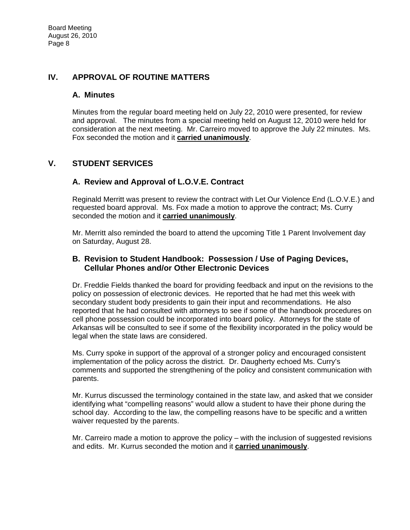## **IV. APPROVAL OF ROUTINE MATTERS**

#### **A. Minutes**

Minutes from the regular board meeting held on July 22, 2010 were presented, for review and approval. The minutes from a special meeting held on August 12, 2010 were held for consideration at the next meeting. Mr. Carreiro moved to approve the July 22 minutes. Ms. Fox seconded the motion and it **carried unanimously**.

# **V. STUDENT SERVICES**

## **A. Review and Approval of L.O.V.E. Contract**

Reginald Merritt was present to review the contract with Let Our Violence End (L.O.V.E.) and requested board approval. Ms. Fox made a motion to approve the contract; Ms. Curry seconded the motion and it **carried unanimously**.

Mr. Merritt also reminded the board to attend the upcoming Title 1 Parent Involvement day on Saturday, August 28.

## **B. Revision to Student Handbook: Possession / Use of Paging Devices, Cellular Phones and/or Other Electronic Devices**

Dr. Freddie Fields thanked the board for providing feedback and input on the revisions to the policy on possession of electronic devices. He reported that he had met this week with secondary student body presidents to gain their input and recommendations. He also reported that he had consulted with attorneys to see if some of the handbook procedures on cell phone possession could be incorporated into board policy. Attorneys for the state of Arkansas will be consulted to see if some of the flexibility incorporated in the policy would be legal when the state laws are considered.

Ms. Curry spoke in support of the approval of a stronger policy and encouraged consistent implementation of the policy across the district. Dr. Daugherty echoed Ms. Curry's comments and supported the strengthening of the policy and consistent communication with parents.

Mr. Kurrus discussed the terminology contained in the state law, and asked that we consider identifying what "compelling reasons" would allow a student to have their phone during the school day. According to the law, the compelling reasons have to be specific and a written waiver requested by the parents.

Mr. Carreiro made a motion to approve the policy – with the inclusion of suggested revisions and edits. Mr. Kurrus seconded the motion and it **carried unanimously**.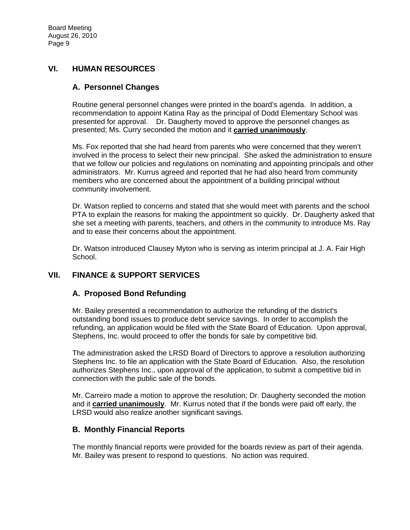## **VI. HUMAN RESOURCES**

#### **A. Personnel Changes**

Routine general personnel changes were printed in the board's agenda. In addition, a recommendation to appoint Katina Ray as the principal of Dodd Elementary School was presented for approval. Dr. Daugherty moved to approve the personnel changes as presented; Ms. Curry seconded the motion and it **carried unanimously**.

Ms. Fox reported that she had heard from parents who were concerned that they weren't involved in the process to select their new principal. She asked the administration to ensure that we follow our policies and regulations on nominating and appointing principals and other administrators. Mr. Kurrus agreed and reported that he had also heard from community members who are concerned about the appointment of a building principal without community involvement.

Dr. Watson replied to concerns and stated that she would meet with parents and the school PTA to explain the reasons for making the appointment so quickly. Dr. Daugherty asked that she set a meeting with parents, teachers, and others in the community to introduce Ms. Ray and to ease their concerns about the appointment.

Dr. Watson introduced Clausey Myton who is serving as interim principal at J. A. Fair High School.

## **VII. FINANCE & SUPPORT SERVICES**

## **A. Proposed Bond Refunding**

Mr. Bailey presented a recommendation to authorize the refunding of the district's outstanding bond issues to produce debt service savings. In order to accomplish the refunding, an application would be filed with the State Board of Education. Upon approval, Stephens, Inc. would proceed to offer the bonds for sale by competitive bid.

The administration asked the LRSD Board of Directors to approve a resolution authorizing Stephens Inc. to file an application with the State Board of Education. Also, the resolution authorizes Stephens Inc., upon approval of the application, to submit a competitive bid in connection with the public sale of the bonds.

Mr. Carreiro made a motion to approve the resolution; Dr. Daugherty seconded the motion and it **carried unanimously**. Mr. Kurrus noted that if the bonds were paid off early, the LRSD would also realize another significant savings.

## **B. Monthly Financial Reports**

The monthly financial reports were provided for the boards review as part of their agenda. Mr. Bailey was present to respond to questions. No action was required.